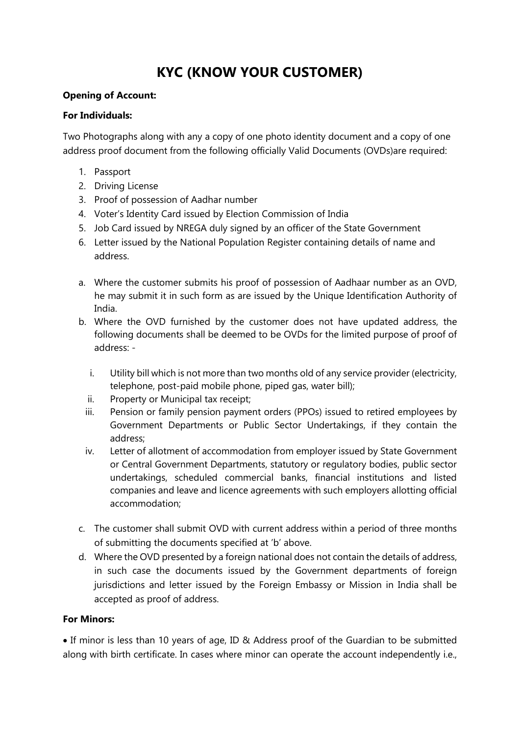# **KYC (KNOW YOUR CUSTOMER)**

## **Opening of Account:**

#### **For Individuals:**

Two Photographs along with any a copy of one photo identity document and a copy of one address proof document from the following officially Valid Documents (OVDs)are required:

- 1. Passport
- 2. Driving License
- 3. Proof of possession of Aadhar number
- 4. Voter's Identity Card issued by Election Commission of India
- 5. Job Card issued by NREGA duly signed by an officer of the State Government
- 6. Letter issued by the National Population Register containing details of name and address.
- a. Where the customer submits his proof of possession of Aadhaar number as an OVD, he may submit it in such form as are issued by the Unique Identification Authority of India.
- b. Where the OVD furnished by the customer does not have updated address, the following documents shall be deemed to be OVDs for the limited purpose of proof of address:
	- i. Utility bill which is not more than two months old of any service provider (electricity, telephone, post-paid mobile phone, piped gas, water bill);
	- ii. Property or Municipal tax receipt;
	- iii. Pension or family pension payment orders (PPOs) issued to retired employees by Government Departments or Public Sector Undertakings, if they contain the address;
	- iv. Letter of allotment of accommodation from employer issued by State Government or Central Government Departments, statutory or regulatory bodies, public sector undertakings, scheduled commercial banks, financial institutions and listed companies and leave and licence agreements with such employers allotting official accommodation;
- c. The customer shall submit OVD with current address within a period of three months of submitting the documents specified at 'b' above.
- d. Where the OVD presented by a foreign national does not contain the details of address, in such case the documents issued by the Government departments of foreign jurisdictions and letter issued by the Foreign Embassy or Mission in India shall be accepted as proof of address.

## **For Minors:**

 If minor is less than 10 years of age, ID & Address proof of the Guardian to be submitted along with birth certificate. In cases where minor can operate the account independently i.e.,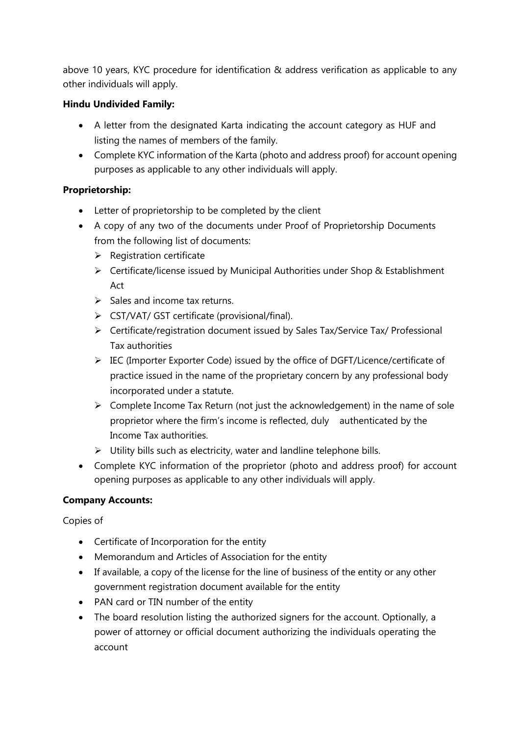above 10 years, KYC procedure for identification & address verification as applicable to any other individuals will apply.

## **Hindu Undivided Family:**

- A letter from the designated Karta indicating the account category as HUF and listing the names of members of the family.
- Complete KYC information of the Karta (photo and address proof) for account opening purposes as applicable to any other individuals will apply.

## **Proprietorship:**

- Letter of proprietorship to be completed by the client
- A copy of any two of the documents under Proof of Proprietorship Documents from the following list of documents:
	- $\triangleright$  Registration certificate
	- $\triangleright$  Certificate/license issued by Municipal Authorities under Shop & Establishment Act
	- $\triangleright$  Sales and income tax returns.
	- CST/VAT/ GST certificate (provisional/final).
	- Certificate/registration document issued by Sales Tax/Service Tax/ Professional Tax authorities
	- $\triangleright$  IEC (Importer Exporter Code) issued by the office of DGFT/Licence/certificate of practice issued in the name of the proprietary concern by any professional body incorporated under a statute.
	- $\triangleright$  Complete Income Tax Return (not just the acknowledgement) in the name of sole proprietor where the firm's income is reflected, duly authenticated by the Income Tax authorities.
	- $\triangleright$  Utility bills such as electricity, water and landline telephone bills.
- Complete KYC information of the proprietor (photo and address proof) for account opening purposes as applicable to any other individuals will apply.

## **Company Accounts:**

Copies of

- Certificate of Incorporation for the entity
- Memorandum and Articles of Association for the entity
- If available, a copy of the license for the line of business of the entity or any other government registration document available for the entity
- PAN card or TIN number of the entity
- The board resolution listing the authorized signers for the account. Optionally, a power of attorney or official document authorizing the individuals operating the account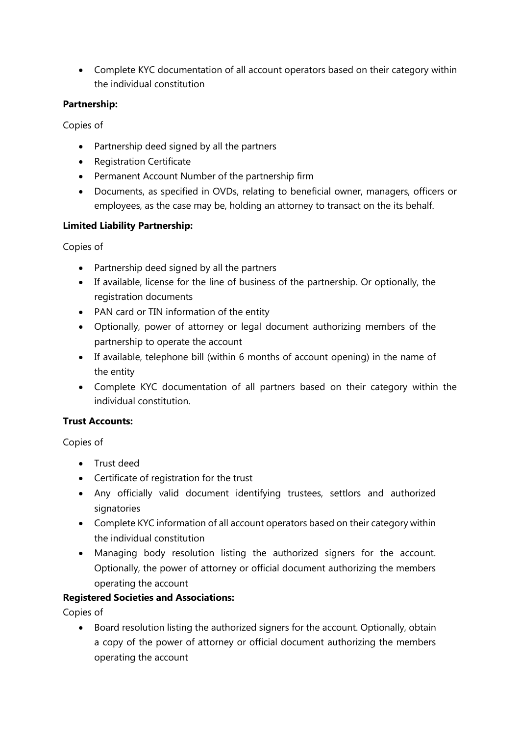Complete KYC documentation of all account operators based on their category within the individual constitution

## **Partnership:**

Copies of

- Partnership deed signed by all the partners
- Registration Certificate
- Permanent Account Number of the partnership firm
- Documents, as specified in OVDs, relating to beneficial owner, managers, officers or employees, as the case may be, holding an attorney to transact on the its behalf.

## **Limited Liability Partnership:**

Copies of

- Partnership deed signed by all the partners
- If available, license for the line of business of the partnership. Or optionally, the registration documents
- PAN card or TIN information of the entity
- Optionally, power of attorney or legal document authorizing members of the partnership to operate the account
- If available, telephone bill (within 6 months of account opening) in the name of the entity
- Complete KYC documentation of all partners based on their category within the individual constitution.

# **Trust Accounts:**

Copies of

- Trust deed
- Certificate of registration for the trust
- Any officially valid document identifying trustees, settlors and authorized signatories
- Complete KYC information of all account operators based on their category within the individual constitution
- Managing body resolution listing the authorized signers for the account. Optionally, the power of attorney or official document authorizing the members operating the account

## **Registered Societies and Associations:**

Copies of

• Board resolution listing the authorized signers for the account. Optionally, obtain a copy of the power of attorney or official document authorizing the members operating the account